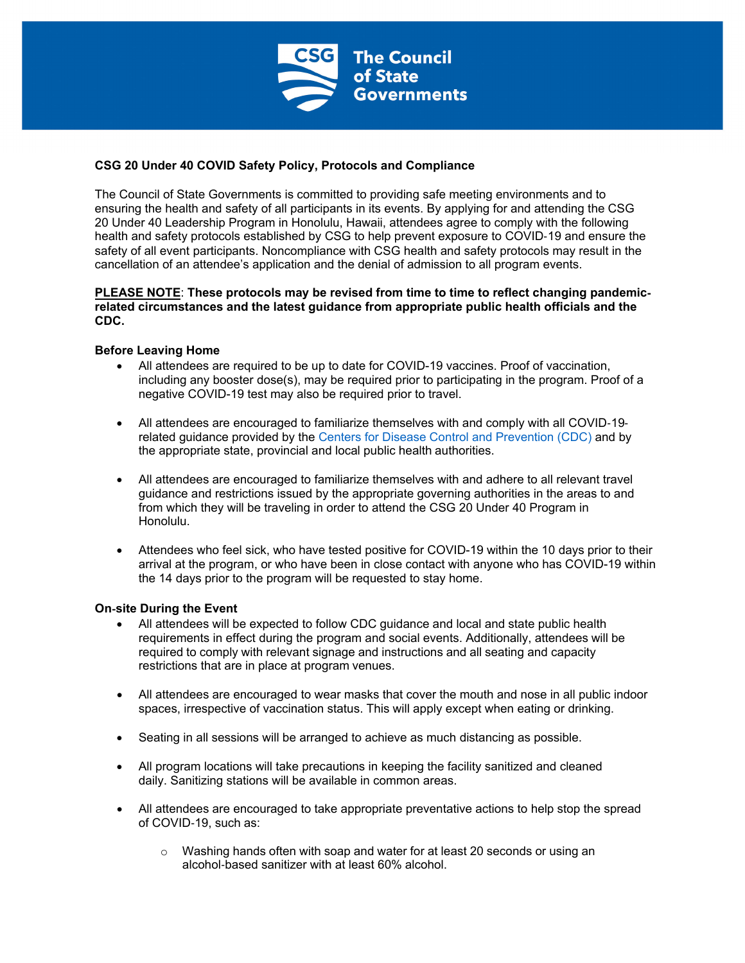

# **CSG 20 Under 40 COVID Safety Policy, Protocols and Compliance**

The Council of State Governments is committed to providing safe meeting environments and to ensuring the health and safety of all participants in its events. By applying for and attending the CSG 20 Under 40 Leadership Program in Honolulu, Hawaii, attendees agree to comply with the following health and safety protocols established by CSG to help prevent exposure to COVID-19 and ensure the safety of all event participants. Noncompliance with CSG health and safety protocols may result in the cancellation of an attendee's application and the denial of admission to all program events.

#### **PLEASE NOTE**: **These protocols may be revised from time to time to reflect changing pandemicrelated circumstances and the latest guidance from appropriate public health officials and the CDC.**

### **Before Leaving Home**

- All attendees are required to be up to date for COVID-19 vaccines. Proof of vaccination, including any booster dose(s), may be required prior to participating in the program. Proof of a negative COVID-19 test may also be required prior to travel.
- All attendees are encouraged to familiarize themselves with and comply with all COVID-19 related guidance provided by the Centers for Disease Control and Prevention (CDC) and by the appropriate state, provincial and local public health authorities.
- All attendees are encouraged to familiarize themselves with and adhere to all relevant travel guidance and restrictions issued by the appropriate governing authorities in the areas to and from which they will be traveling in order to attend the CSG 20 Under 40 Program in Honolulu.
- Attendees who feel sick, who have tested positive for COVID-19 within the 10 days prior to their arrival at the program, or who have been in close contact with anyone who has COVID-19 within the 14 days prior to the program will be requested to stay home.

### **On**-**site During the Event**

- All attendees will be expected to follow CDC guidance and local and state public health requirements in effect during the program and social events. Additionally, attendees will be required to comply with relevant signage and instructions and all seating and capacity restrictions that are in place at program venues.
- All attendees are encouraged to wear masks that cover the mouth and nose in all public indoor spaces, irrespective of vaccination status. This will apply except when eating or drinking.
- Seating in all sessions will be arranged to achieve as much distancing as possible.
- All program locations will take precautions in keeping the facility sanitized and cleaned daily. Sanitizing stations will be available in common areas.
- All attendees are encouraged to take appropriate preventative actions to help stop the spread of COVID-19, such as:
	- $\circ$  Washing hands often with soap and water for at least 20 seconds or using an alcohol-based sanitizer with at least 60% alcohol.